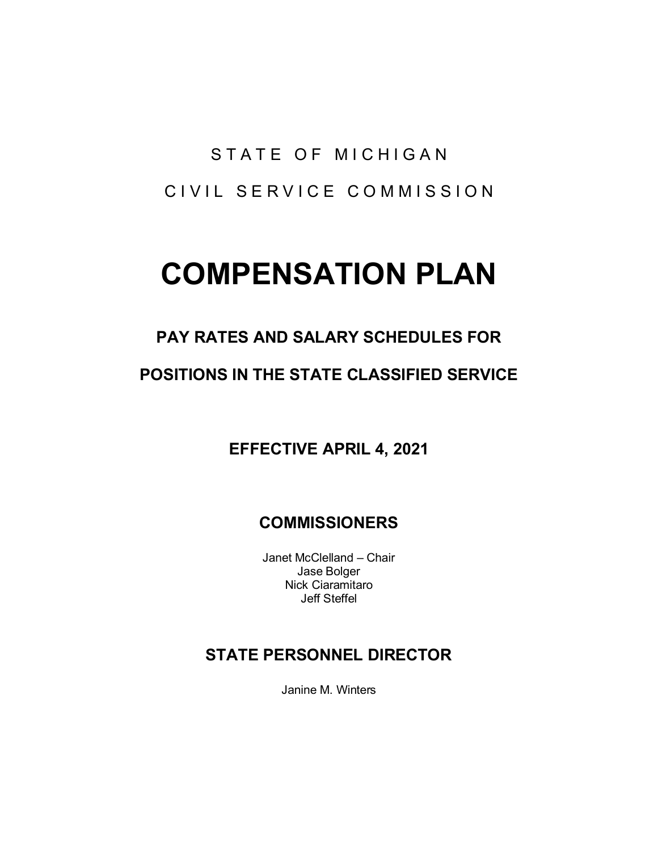# STATE OF MICHIGAN CIVIL SERVICE COMMISSION

# **COMPENSATION PLAN**

# **PAY RATES AND SALARY SCHEDULES FOR**

# **POSITIONS IN THE STATE CLASSIFIED SERVICE**

**EFFECTIVE APRIL 4, 2021** 

## **COMMISSIONERS**

Janet McClelland – Chair Jase Bolger Nick Ciaramitaro Jeff Steffel

# **STATE PERSONNEL DIRECTOR**

Janine M. Winters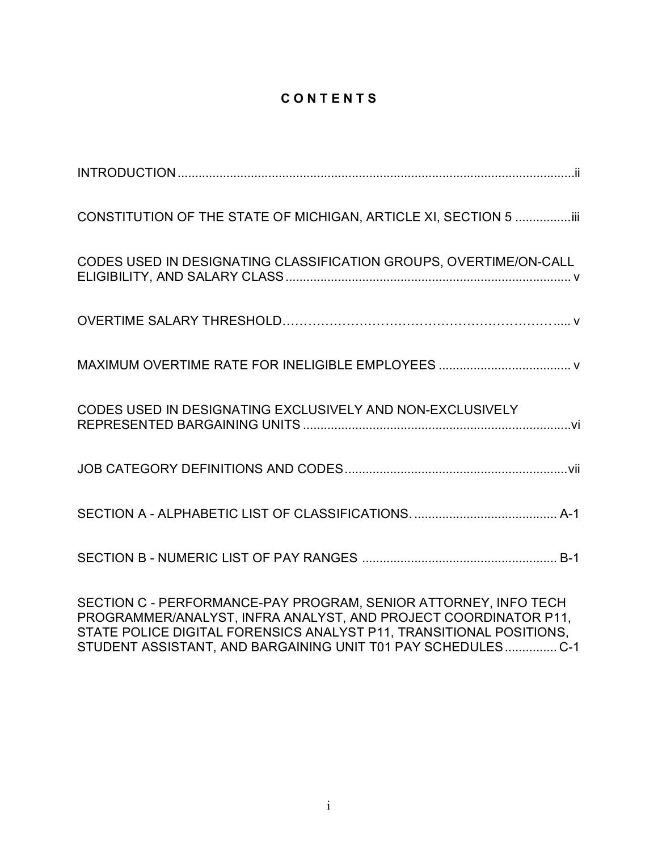### **C O N T E N T S**

| CONSTITUTION OF THE STATE OF MICHIGAN, ARTICLE XI, SECTION 5 iii  |
|-------------------------------------------------------------------|
| CODES USED IN DESIGNATING CLASSIFICATION GROUPS, OVERTIME/ON-CALL |
|                                                                   |
|                                                                   |
| CODES USED IN DESIGNATING EXCLUSIVELY AND NON-EXCLUSIVELY         |
|                                                                   |
|                                                                   |
|                                                                   |

SECTION C - PERFORMANCE-PAY PROGRAM, SENIOR ATTORNEY, INFO TECH PROGRAMMER/ANALYST, INFRA ANALYST, AND PROJECT COORDINATOR P11, STATE POLICE DIGITAL FORENSICS ANALYST P11, TRANSITIONAL POSITIONS, STUDENT ASSISTANT, AND BARGAINING UNIT T01 PAY SCHEDULES............... C-1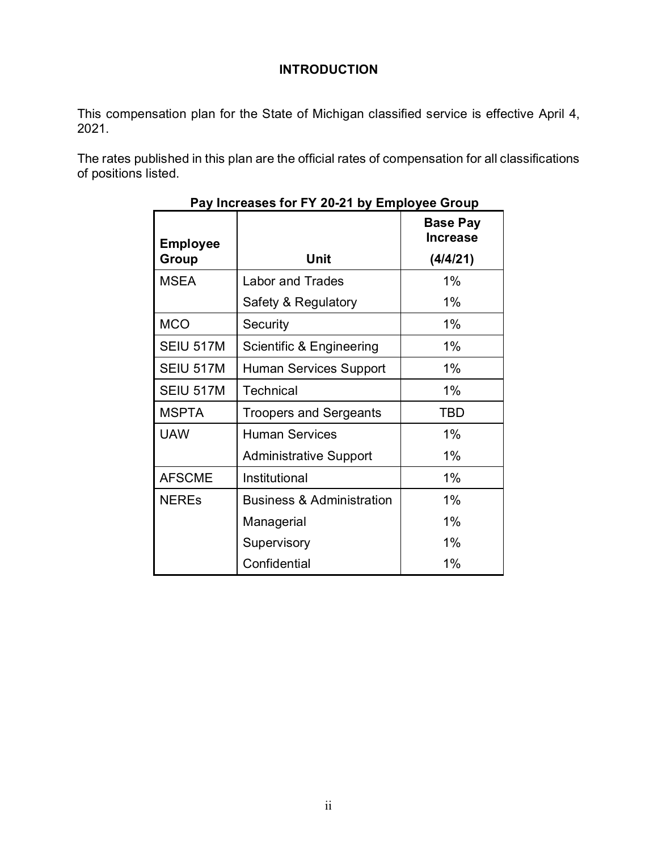#### **INTRODUCTION**

This compensation plan for the State of Michigan classified service is effective April 4, 2021.

The rates published in this plan are the official rates of compensation for all classifications of positions listed.

| <b>Employee</b> |                                             | <b>Base Pay</b><br><b>Increase</b> |
|-----------------|---------------------------------------------|------------------------------------|
| Group           | <b>Unit</b>                                 | (4/4/21)                           |
| <b>MSEA</b>     | <b>Labor and Trades</b>                     | $1\%$                              |
|                 | Safety & Regulatory                         | 1%                                 |
| <b>MCO</b>      | 1%<br>Security                              |                                    |
| SEIU 517M       | 1%<br>Scientific & Engineering              |                                    |
| SEIU 517M       | 1%<br><b>Human Services Support</b>         |                                    |
| SEIU 517M       | <b>Technical</b><br>1%                      |                                    |
| <b>MSPTA</b>    | <b>TBD</b><br><b>Troopers and Sergeants</b> |                                    |
| <b>UAW</b>      | 1%<br><b>Human Services</b>                 |                                    |
|                 | <b>Administrative Support</b>               | 1%                                 |
| <b>AFSCME</b>   | Institutional                               | 1%                                 |
| <b>NEREs</b>    | <b>Business &amp; Administration</b>        | $1\%$                              |
|                 | Managerial                                  | 1%                                 |
|                 | Supervisory                                 | 1%                                 |
|                 | Confidential                                | 1%                                 |

 **Pay Increases for FY 20-21 by Employee Group**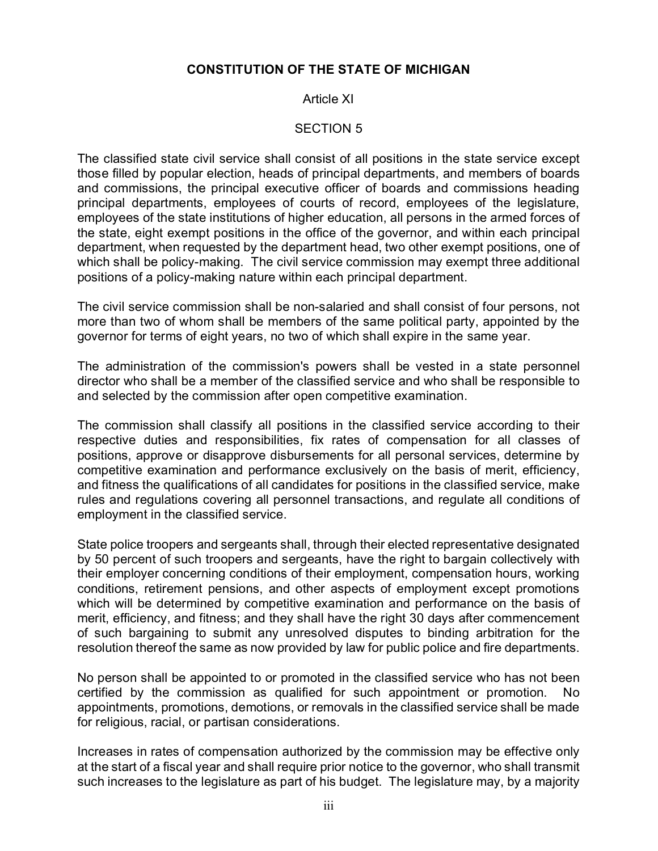#### **CONSTITUTION OF THE STATE OF MICHIGAN**

#### Article XI

#### SECTION 5

The classified state civil service shall consist of all positions in the state service except those filled by popular election, heads of principal departments, and members of boards and commissions, the principal executive officer of boards and commissions heading principal departments, employees of courts of record, employees of the legislature, employees of the state institutions of higher education, all persons in the armed forces of the state, eight exempt positions in the office of the governor, and within each principal department, when requested by the department head, two other exempt positions, one of which shall be policy-making. The civil service commission may exempt three additional positions of a policy-making nature within each principal department.

The civil service commission shall be non-salaried and shall consist of four persons, not more than two of whom shall be members of the same political party, appointed by the governor for terms of eight years, no two of which shall expire in the same year.

The administration of the commission's powers shall be vested in a state personnel director who shall be a member of the classified service and who shall be responsible to and selected by the commission after open competitive examination.

The commission shall classify all positions in the classified service according to their respective duties and responsibilities, fix rates of compensation for all classes of positions, approve or disapprove disbursements for all personal services, determine by competitive examination and performance exclusively on the basis of merit, efficiency, and fitness the qualifications of all candidates for positions in the classified service, make rules and regulations covering all personnel transactions, and regulate all conditions of employment in the classified service.

State police troopers and sergeants shall, through their elected representative designated by 50 percent of such troopers and sergeants, have the right to bargain collectively with their employer concerning conditions of their employment, compensation hours, working conditions, retirement pensions, and other aspects of employment except promotions which will be determined by competitive examination and performance on the basis of merit, efficiency, and fitness; and they shall have the right 30 days after commencement of such bargaining to submit any unresolved disputes to binding arbitration for the resolution thereof the same as now provided by law for public police and fire departments.

No person shall be appointed to or promoted in the classified service who has not been certified by the commission as qualified for such appointment or promotion. No appointments, promotions, demotions, or removals in the classified service shall be made for religious, racial, or partisan considerations.

Increases in rates of compensation authorized by the commission may be effective only at the start of a fiscal year and shall require prior notice to the governor, who shall transmit such increases to the legislature as part of his budget. The legislature may, by a majority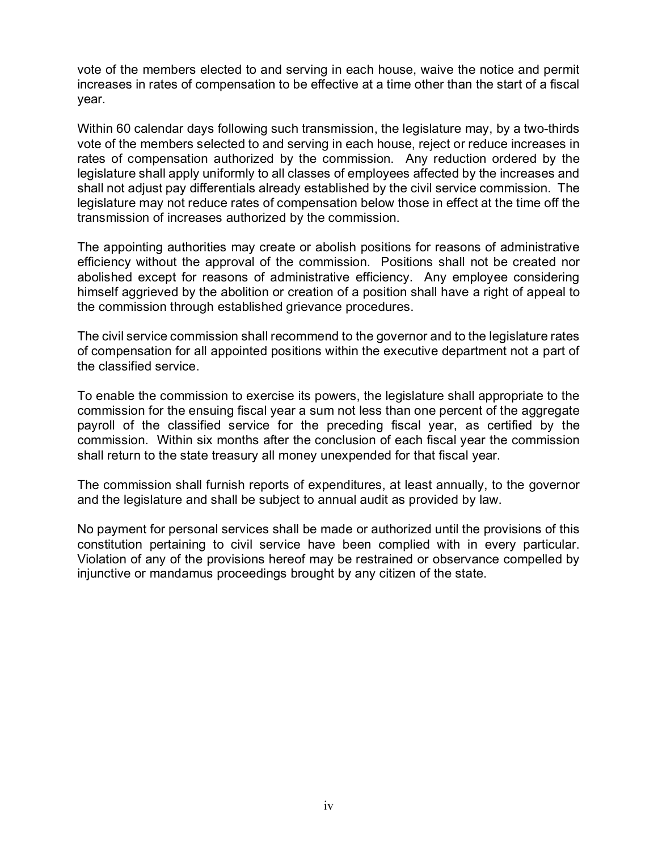vote of the members elected to and serving in each house, waive the notice and permit increases in rates of compensation to be effective at a time other than the start of a fiscal year.

Within 60 calendar days following such transmission, the legislature may, by a two-thirds vote of the members selected to and serving in each house, reject or reduce increases in rates of compensation authorized by the commission. Any reduction ordered by the legislature shall apply uniformly to all classes of employees affected by the increases and shall not adjust pay differentials already established by the civil service commission. The legislature may not reduce rates of compensation below those in effect at the time off the transmission of increases authorized by the commission.

The appointing authorities may create or abolish positions for reasons of administrative efficiency without the approval of the commission. Positions shall not be created nor abolished except for reasons of administrative efficiency. Any employee considering himself aggrieved by the abolition or creation of a position shall have a right of appeal to the commission through established grievance procedures.

The civil service commission shall recommend to the governor and to the legislature rates of compensation for all appointed positions within the executive department not a part of the classified service.

To enable the commission to exercise its powers, the legislature shall appropriate to the commission for the ensuing fiscal year a sum not less than one percent of the aggregate payroll of the classified service for the preceding fiscal year, as certified by the commission. Within six months after the conclusion of each fiscal year the commission shall return to the state treasury all money unexpended for that fiscal year.

The commission shall furnish reports of expenditures, at least annually, to the governor and the legislature and shall be subject to annual audit as provided by law.

No payment for personal services shall be made or authorized until the provisions of this constitution pertaining to civil service have been complied with in every particular. Violation of any of the provisions hereof may be restrained or observance compelled by injunctive or mandamus proceedings brought by any citizen of the state.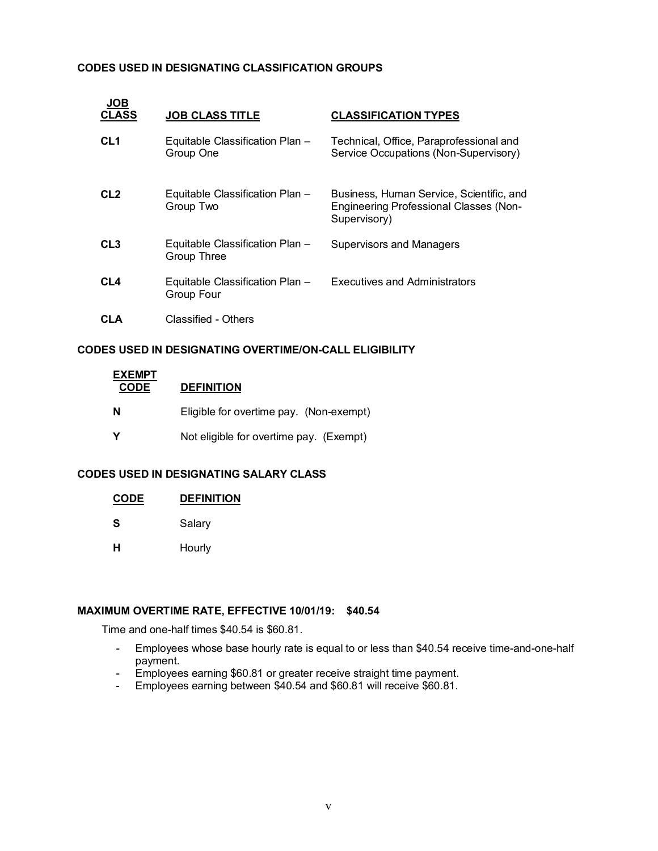#### **CODES USED IN DESIGNATING CLASSIFICATION GROUPS**

| <b>JOB</b>      |                                                |                                                                                                           |
|-----------------|------------------------------------------------|-----------------------------------------------------------------------------------------------------------|
| <b>CLASS</b>    | <b>JOB CLASS TITLE</b>                         | <b>CLASSIFICATION TYPES</b>                                                                               |
| CL <sub>1</sub> | Equitable Classification Plan -<br>Group One   | Technical, Office, Paraprofessional and<br>Service Occupations (Non-Supervisory)                          |
| CL <sub>2</sub> | Equitable Classification Plan -<br>Group Two   | Business, Human Service, Scientific, and<br><b>Engineering Professional Classes (Non-</b><br>Supervisory) |
| CL <sub>3</sub> | Equitable Classification Plan -<br>Group Three | <b>Supervisors and Managers</b>                                                                           |
| CL <sub>4</sub> | Equitable Classification Plan -<br>Group Four  | <b>Executives and Administrators</b>                                                                      |
| CLA             | Classified - Others                            |                                                                                                           |

#### **CODES USED IN DESIGNATING OVERTIME/ON-CALL ELIGIBILITY**

#### **EXEMPT DEFINITION**

| N | Eligible for overtime pay. (Non-exempt) |
|---|-----------------------------------------|
| Y | Not eligible for overtime pay. (Exempt) |

#### **CODES USED IN DESIGNATING SALARY CLASS**

| <b>CODE</b> | <b>DEFINITION</b> |
|-------------|-------------------|
|             |                   |

- **S** Salary
- **H** Hourly

#### **MAXIMUM OVERTIME RATE, EFFECTIVE 10/01/19: \$40.54**

Time and one-half times \$40.54 is \$60.81.

- Employees whose base hourly rate is equal to or less than \$40.54 receive time-and-one-half payment.
- Employees earning \$60.81 or greater receive straight time payment.
- Employees earning between \$40.54 and \$60.81 will receive \$60.81.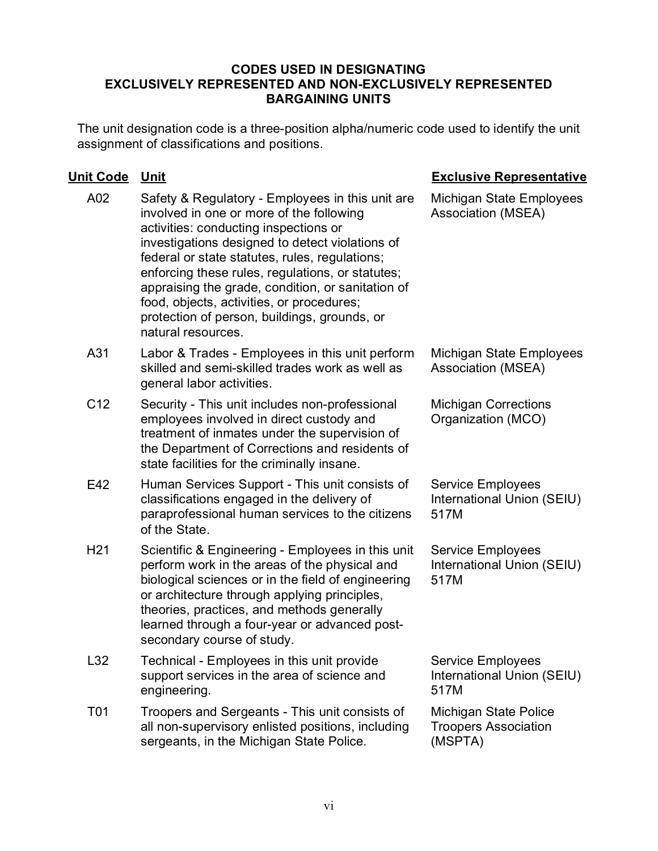#### **CODES USED IN DESIGNATING EXCLUSIVELY REPRESENTED AND NON-EXCLUSIVELY REPRESENTED BARGAINING UNITS**

The unit designation code is a three-position alpha/numeric code used to identify the unit assignment of classifications and positions.

- A02 Safety & Regulatory Employees in this unit are involved in one or more of the following activities: conducting inspections or investigations designed to detect violations of federal or state statutes, rules, regulations; enforcing these rules, regulations, or statutes; appraising the grade, condition, or sanitation of food, objects, activities, or procedures; protection of person, buildings, grounds, or natural resources.
- A31 Labor & Trades Employees in this unit perform skilled and semi-skilled trades work as well as general labor activities.
- C12 Security This unit includes non-professional employees involved in direct custody and treatment of inmates under the supervision of the Department of Corrections and residents of state facilities for the criminally insane.
- E42 Human Services Support This unit consists of classifications engaged in the delivery of paraprofessional human services to the citizens of the State.
- H21 Scientific & Engineering Employees in this unit perform work in the areas of the physical and biological sciences or in the field of engineering or architecture through applying principles, theories, practices, and methods generally learned through a four-year or advanced postsecondary course of study.
- L32 Technical Employees in this unit provide support services in the area of science and engineering.
- T01 Troopers and Sergeants This unit consists of all non-supervisory enlisted positions, including sergeants, in the Michigan State Police.

### **Unit Code Unit Exclusive Representative**

Michigan State Employees Association (MSEA)

Michigan State Employees Association (MSEA)

Michigan Corrections Organization (MCO)

Service Employees International Union (SEIU) 517M

Service Employees International Union (SEIU) 517M

Service Employees International Union (SEIU) 517M

Michigan State Police Troopers Association (MSPTA)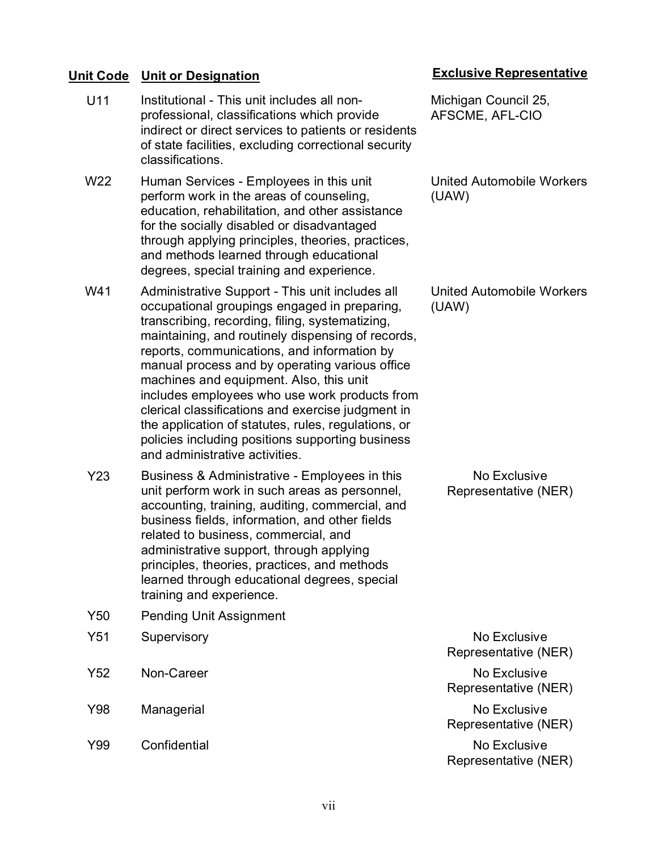### **Unit Code Unit or Designation Exclusive Representative**

- U11 Institutional This unit includes all nonprofessional, classifications which provide indirect or direct services to patients or residents of state facilities, excluding correctional security classifications.
- W22 Human Services Employees in this unit perform work in the areas of counseling, education, rehabilitation, and other assistance for the socially disabled or disadvantaged through applying principles, theories, practices, and methods learned through educational degrees, special training and experience.
- W41 Administrative Support This unit includes all occupational groupings engaged in preparing, transcribing, recording, filing, systematizing, maintaining, and routinely dispensing of records, reports, communications, and information by manual process and by operating various office machines and equipment. Also, this unit includes employees who use work products from clerical classifications and exercise judgment in the application of statutes, rules, regulations, or policies including positions supporting business and administrative activities.
- Y23 Business & Administrative Employees in this unit perform work in such areas as personnel, accounting, training, auditing, commercial, and business fields, information, and other fields related to business, commercial, and administrative support, through applying principles, theories, practices, and methods learned through educational degrees, special training and experience.
- Y50 Pending Unit Assignment
- Y51 Supervisory **No Exclusive** No Exclusive
- Y52 Non-Career No Exclusive No Exclusive
- Y98 Managerial Managerial No Exclusive
- Y99 Confidential 2008 No Exclusive

Michigan Council 25, AFSCME, AFL-CIO

United Automobile Workers (UAW)

United Automobile Workers (UAW)

> No Exclusive Representative (NER)

Representative (NER) Representative (NER) Representative (NER)

Representative (NER)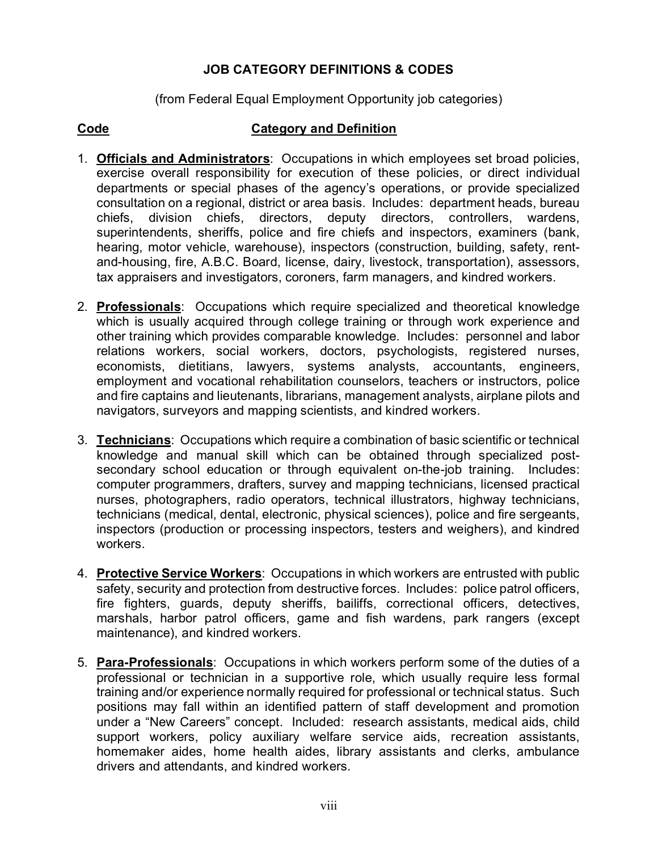#### **JOB CATEGORY DEFINITIONS & CODES**

(from Federal Equal Employment Opportunity job categories)

## **Code Category and Definition**

- 1. **Officials and Administrators**: Occupations in which employees set broad policies, exercise overall responsibility for execution of these policies, or direct individual departments or special phases of the agency's operations, or provide specialized consultation on a regional, district or area basis. Includes: department heads, bureau chiefs, division chiefs, directors, deputy directors, controllers, wardens, superintendents, sheriffs, police and fire chiefs and inspectors, examiners (bank, hearing, motor vehicle, warehouse), inspectors (construction, building, safety, rentand-housing, fire, A.B.C. Board, license, dairy, livestock, transportation), assessors, tax appraisers and investigators, coroners, farm managers, and kindred workers.
- 2. **Professionals**: Occupations which require specialized and theoretical knowledge which is usually acquired through college training or through work experience and other training which provides comparable knowledge. Includes: personnel and labor relations workers, social workers, doctors, psychologists, registered nurses, economists, dietitians, lawyers, systems analysts, accountants, engineers, employment and vocational rehabilitation counselors, teachers or instructors, police and fire captains and lieutenants, librarians, management analysts, airplane pilots and navigators, surveyors and mapping scientists, and kindred workers.
- 3. **Technicians**: Occupations which require a combination of basic scientific or technical knowledge and manual skill which can be obtained through specialized postsecondary school education or through equivalent on-the-job training. Includes: computer programmers, drafters, survey and mapping technicians, licensed practical nurses, photographers, radio operators, technical illustrators, highway technicians, technicians (medical, dental, electronic, physical sciences), police and fire sergeants, inspectors (production or processing inspectors, testers and weighers), and kindred workers.
- 4. **Protective Service Workers**: Occupations in which workers are entrusted with public safety, security and protection from destructive forces. Includes: police patrol officers, fire fighters, guards, deputy sheriffs, bailiffs, correctional officers, detectives, marshals, harbor patrol officers, game and fish wardens, park rangers (except maintenance), and kindred workers.
- 5. **Para-Professionals**: Occupations in which workers perform some of the duties of a professional or technician in a supportive role, which usually require less formal training and/or experience normally required for professional or technical status. Such positions may fall within an identified pattern of staff development and promotion under a "New Careers" concept. Included: research assistants, medical aids, child support workers, policy auxiliary welfare service aids, recreation assistants, homemaker aides, home health aides, library assistants and clerks, ambulance drivers and attendants, and kindred workers.